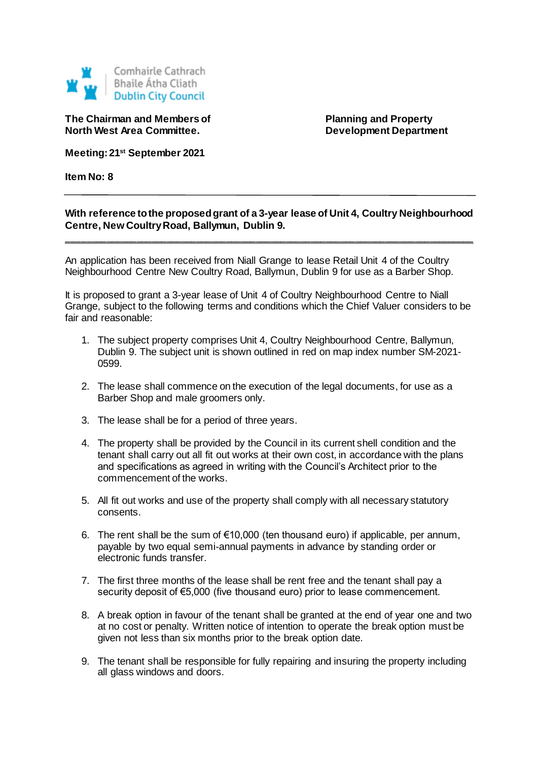

**The Chairman and Members of Planning and Property North West Area Committee. Development Department** 

**Meeting: 21st September 2021**

**Item No: 8**

## **With reference to the proposed grant of a 3-year lease of Unit 4, Coultry Neighbourhood Centre, New Coultry Road, Ballymun, Dublin 9.**

**\_\_\_\_\_\_\_\_\_\_\_\_\_\_\_\_\_\_\_\_\_\_\_\_\_\_\_\_\_\_\_\_\_\_\_\_\_\_\_\_\_\_\_\_\_\_\_\_\_\_\_\_\_\_\_\_\_\_\_\_\_\_\_\_\_\_\_\_\_\_\_\_\_\_\_\_\_\_\_\_\_\_**

An application has been received from Niall Grange to lease Retail Unit 4 of the Coultry Neighbourhood Centre New Coultry Road, Ballymun, Dublin 9 for use as a Barber Shop.

It is proposed to grant a 3-year lease of Unit 4 of Coultry Neighbourhood Centre to Niall Grange, subject to the following terms and conditions which the Chief Valuer considers to be fair and reasonable:

- 1. The subject property comprises Unit 4, Coultry Neighbourhood Centre, Ballymun, Dublin 9. The subject unit is shown outlined in red on map index number SM-2021- 0599.
- 2. The lease shall commence on the execution of the legal documents, for use as a Barber Shop and male groomers only.
- 3. The lease shall be for a period of three years.
- 4. The property shall be provided by the Council in its current shell condition and the tenant shall carry out all fit out works at their own cost, in accordance with the plans and specifications as agreed in writing with the Council's Architect prior to the commencement of the works.
- 5. All fit out works and use of the property shall comply with all necessary statutory consents.
- 6. The rent shall be the sum of  $\epsilon$ 10,000 (ten thousand euro) if applicable, per annum, payable by two equal semi-annual payments in advance by standing order or electronic funds transfer.
- 7. The first three months of the lease shall be rent free and the tenant shall pay a security deposit of €5,000 (five thousand euro) prior to lease commencement.
- 8. A break option in favour of the tenant shall be granted at the end of year one and two at no cost or penalty. Written notice of intention to operate the break option must be given not less than six months prior to the break option date.
- 9. The tenant shall be responsible for fully repairing and insuring the property including all glass windows and doors.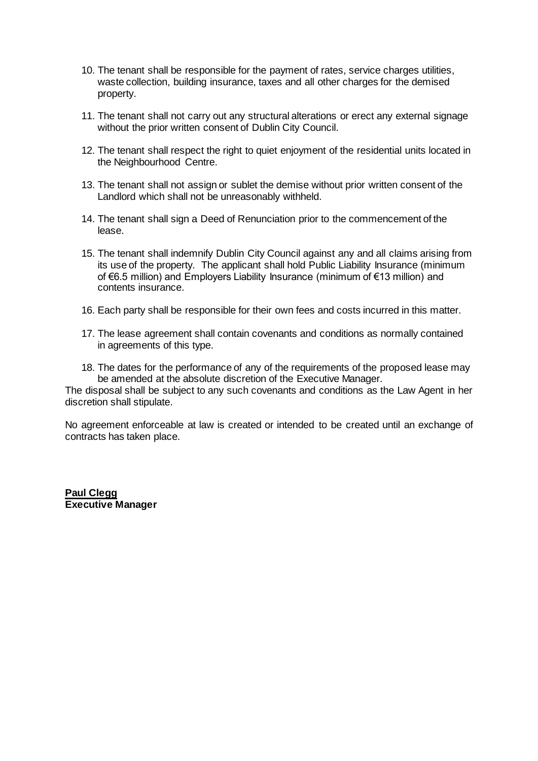- 10. The tenant shall be responsible for the payment of rates, service charges utilities, waste collection, building insurance, taxes and all other charges for the demised property.
- 11. The tenant shall not carry out any structural alterations or erect any external signage without the prior written consent of Dublin City Council.
- 12. The tenant shall respect the right to quiet enjoyment of the residential units located in the Neighbourhood Centre.
- 13. The tenant shall not assign or sublet the demise without prior written consent of the Landlord which shall not be unreasonably withheld.
- 14. The tenant shall sign a Deed of Renunciation prior to the commencement of the lease.
- 15. The tenant shall indemnify Dublin City Council against any and all claims arising from its use of the property. The applicant shall hold Public Liability Insurance (minimum of €6.5 million) and Employers Liability Insurance (minimum of €13 million) and contents insurance.
- 16. Each party shall be responsible for their own fees and costs incurred in this matter.
- 17. The lease agreement shall contain covenants and conditions as normally contained in agreements of this type.
- 18. The dates for the performance of any of the requirements of the proposed lease may be amended at the absolute discretion of the Executive Manager.

The disposal shall be subject to any such covenants and conditions as the Law Agent in her discretion shall stipulate.

No agreement enforceable at law is created or intended to be created until an exchange of contracts has taken place.

**Paul Clegg Executive Manager**